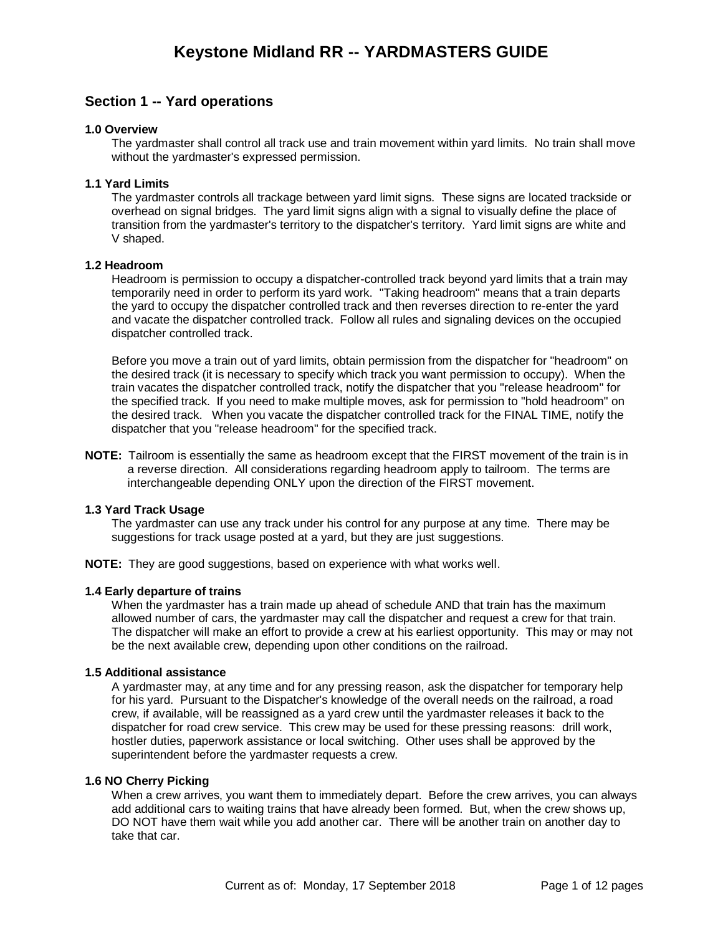## **Section 1 -- Yard operations**

#### **1.0 Overview**

The yardmaster shall control all track use and train movement within yard limits. No train shall move without the yardmaster's expressed permission.

#### **1.1 Yard Limits**

The yardmaster controls all trackage between yard limit signs. These signs are located trackside or overhead on signal bridges. The yard limit signs align with a signal to visually define the place of transition from the yardmaster's territory to the dispatcher's territory. Yard limit signs are white and V shaped.

#### **1.2 Headroom**

Headroom is permission to occupy a dispatcher-controlled track beyond yard limits that a train may temporarily need in order to perform its yard work. "Taking headroom" means that a train departs the yard to occupy the dispatcher controlled track and then reverses direction to re-enter the yard and vacate the dispatcher controlled track. Follow all rules and signaling devices on the occupied dispatcher controlled track.

Before you move a train out of yard limits, obtain permission from the dispatcher for "headroom" on the desired track (it is necessary to specify which track you want permission to occupy). When the train vacates the dispatcher controlled track, notify the dispatcher that you "release headroom" for the specified track. If you need to make multiple moves, ask for permission to "hold headroom" on the desired track. When you vacate the dispatcher controlled track for the FINAL TIME, notify the dispatcher that you "release headroom" for the specified track.

**NOTE:** Tailroom is essentially the same as headroom except that the FIRST movement of the train is in a reverse direction. All considerations regarding headroom apply to tailroom. The terms are interchangeable depending ONLY upon the direction of the FIRST movement.

#### **1.3 Yard Track Usage**

The yardmaster can use any track under his control for any purpose at any time. There may be suggestions for track usage posted at a yard, but they are just suggestions.

**NOTE:** They are good suggestions, based on experience with what works well.

#### **1.4 Early departure of trains**

When the yardmaster has a train made up ahead of schedule AND that train has the maximum allowed number of cars, the yardmaster may call the dispatcher and request a crew for that train. The dispatcher will make an effort to provide a crew at his earliest opportunity. This may or may not be the next available crew, depending upon other conditions on the railroad.

#### **1.5 Additional assistance**

A yardmaster may, at any time and for any pressing reason, ask the dispatcher for temporary help for his yard. Pursuant to the Dispatcher's knowledge of the overall needs on the railroad, a road crew, if available, will be reassigned as a yard crew until the yardmaster releases it back to the dispatcher for road crew service. This crew may be used for these pressing reasons: drill work, hostler duties, paperwork assistance or local switching. Other uses shall be approved by the superintendent before the yardmaster requests a crew.

#### **1.6 NO Cherry Picking**

When a crew arrives, you want them to immediately depart. Before the crew arrives, you can always add additional cars to waiting trains that have already been formed. But, when the crew shows up, DO NOT have them wait while you add another car. There will be another train on another day to take that car.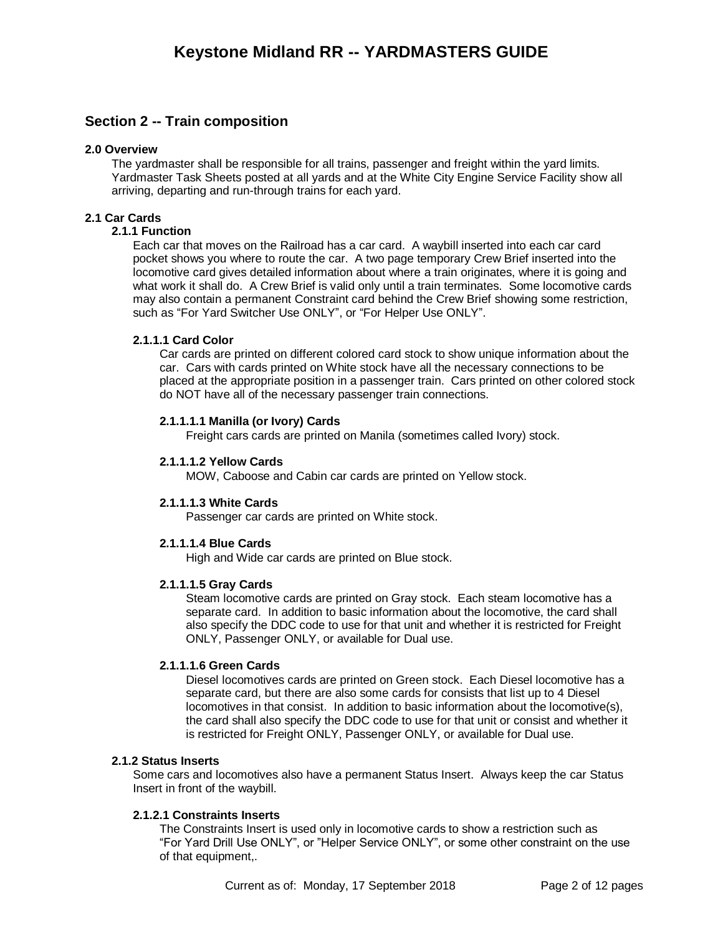## **Section 2 -- Train composition**

#### **2.0 Overview**

The yardmaster shall be responsible for all trains, passenger and freight within the yard limits. Yardmaster Task Sheets posted at all yards and at the White City Engine Service Facility show all arriving, departing and run-through trains for each yard.

#### **2.1 Car Cards**

#### **2.1.1 Function**

Each car that moves on the Railroad has a car card. A waybill inserted into each car card pocket shows you where to route the car. A two page temporary Crew Brief inserted into the locomotive card gives detailed information about where a train originates, where it is going and what work it shall do. A Crew Brief is valid only until a train terminates. Some locomotive cards may also contain a permanent Constraint card behind the Crew Brief showing some restriction, such as "For Yard Switcher Use ONLY", or "For Helper Use ONLY".

#### **2.1.1.1 Card Color**

Car cards are printed on different colored card stock to show unique information about the car. Cars with cards printed on White stock have all the necessary connections to be placed at the appropriate position in a passenger train. Cars printed on other colored stock do NOT have all of the necessary passenger train connections.

#### **2.1.1.1.1 Manilla (or Ivory) Cards**

Freight cars cards are printed on Manila (sometimes called Ivory) stock.

#### **2.1.1.1.2 Yellow Cards**

MOW, Caboose and Cabin car cards are printed on Yellow stock.

#### **2.1.1.1.3 White Cards**

Passenger car cards are printed on White stock.

#### **2.1.1.1.4 Blue Cards**

High and Wide car cards are printed on Blue stock.

#### **2.1.1.1.5 Gray Cards**

Steam locomotive cards are printed on Gray stock. Each steam locomotive has a separate card. In addition to basic information about the locomotive, the card shall also specify the DDC code to use for that unit and whether it is restricted for Freight ONLY, Passenger ONLY, or available for Dual use.

#### **2.1.1.1.6 Green Cards**

Diesel locomotives cards are printed on Green stock. Each Diesel locomotive has a separate card, but there are also some cards for consists that list up to 4 Diesel locomotives in that consist. In addition to basic information about the locomotive(s), the card shall also specify the DDC code to use for that unit or consist and whether it is restricted for Freight ONLY, Passenger ONLY, or available for Dual use.

#### **2.1.2 Status Inserts**

Some cars and locomotives also have a permanent Status Insert. Always keep the car Status Insert in front of the waybill.

#### **2.1.2.1 Constraints Inserts**

The Constraints Insert is used only in locomotive cards to show a restriction such as "For Yard Drill Use ONLY", or "Helper Service ONLY", or some other constraint on the use of that equipment,.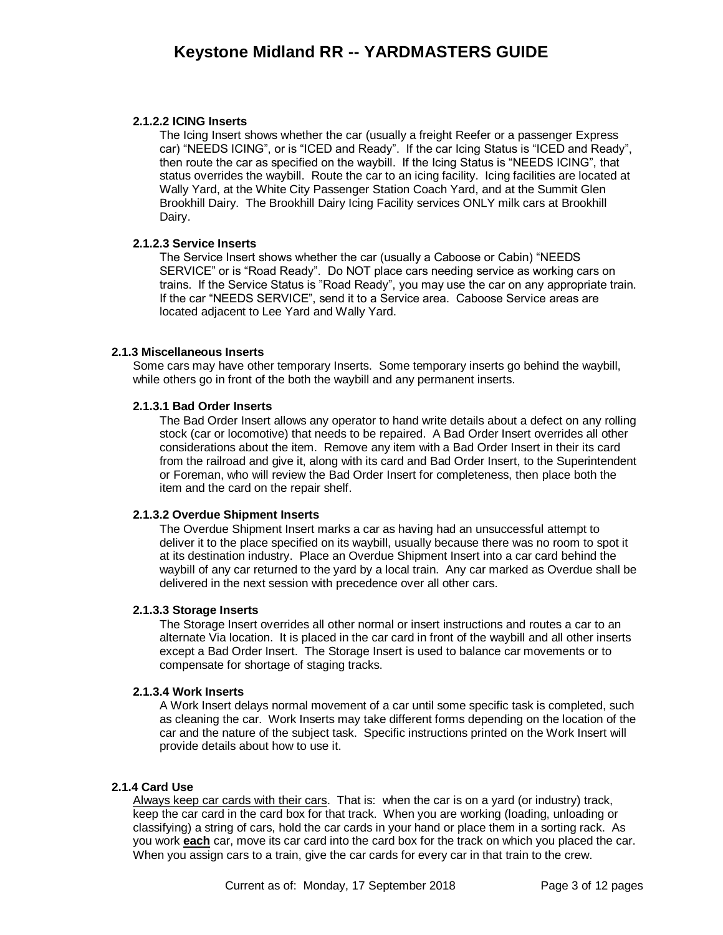#### **2.1.2.2 ICING Inserts**

The Icing Insert shows whether the car (usually a freight Reefer or a passenger Express car) "NEEDS ICING", or is "ICED and Ready". If the car Icing Status is "ICED and Ready", then route the car as specified on the waybill. If the Icing Status is "NEEDS ICING", that status overrides the waybill. Route the car to an icing facility. Icing facilities are located at Wally Yard, at the White City Passenger Station Coach Yard, and at the Summit Glen Brookhill Dairy. The Brookhill Dairy Icing Facility services ONLY milk cars at Brookhill Dairy.

#### **2.1.2.3 Service Inserts**

The Service Insert shows whether the car (usually a Caboose or Cabin) "NEEDS SERVICE" or is "Road Ready". Do NOT place cars needing service as working cars on trains. If the Service Status is "Road Ready", you may use the car on any appropriate train. If the car "NEEDS SERVICE", send it to a Service area. Caboose Service areas are located adjacent to Lee Yard and Wally Yard.

#### **2.1.3 Miscellaneous Inserts**

Some cars may have other temporary Inserts. Some temporary inserts go behind the waybill, while others go in front of the both the waybill and any permanent inserts.

#### **2.1.3.1 Bad Order Inserts**

The Bad Order Insert allows any operator to hand write details about a defect on any rolling stock (car or locomotive) that needs to be repaired. A Bad Order Insert overrides all other considerations about the item. Remove any item with a Bad Order Insert in their its card from the railroad and give it, along with its card and Bad Order Insert, to the Superintendent or Foreman, who will review the Bad Order Insert for completeness, then place both the item and the card on the repair shelf.

#### **2.1.3.2 Overdue Shipment Inserts**

The Overdue Shipment Insert marks a car as having had an unsuccessful attempt to deliver it to the place specified on its waybill, usually because there was no room to spot it at its destination industry. Place an Overdue Shipment Insert into a car card behind the waybill of any car returned to the yard by a local train. Any car marked as Overdue shall be delivered in the next session with precedence over all other cars.

#### **2.1.3.3 Storage Inserts**

The Storage Insert overrides all other normal or insert instructions and routes a car to an alternate Via location. It is placed in the car card in front of the waybill and all other inserts except a Bad Order Insert. The Storage Insert is used to balance car movements or to compensate for shortage of staging tracks.

#### **2.1.3.4 Work Inserts**

A Work Insert delays normal movement of a car until some specific task is completed, such as cleaning the car. Work Inserts may take different forms depending on the location of the car and the nature of the subject task. Specific instructions printed on the Work Insert will provide details about how to use it.

#### **2.1.4 Card Use**

Always keep car cards with their cars. That is: when the car is on a yard (or industry) track, keep the car card in the card box for that track. When you are working (loading, unloading or classifying) a string of cars, hold the car cards in your hand or place them in a sorting rack. As you work **each** car, move its car card into the card box for the track on which you placed the car. When you assign cars to a train, give the car cards for every car in that train to the crew.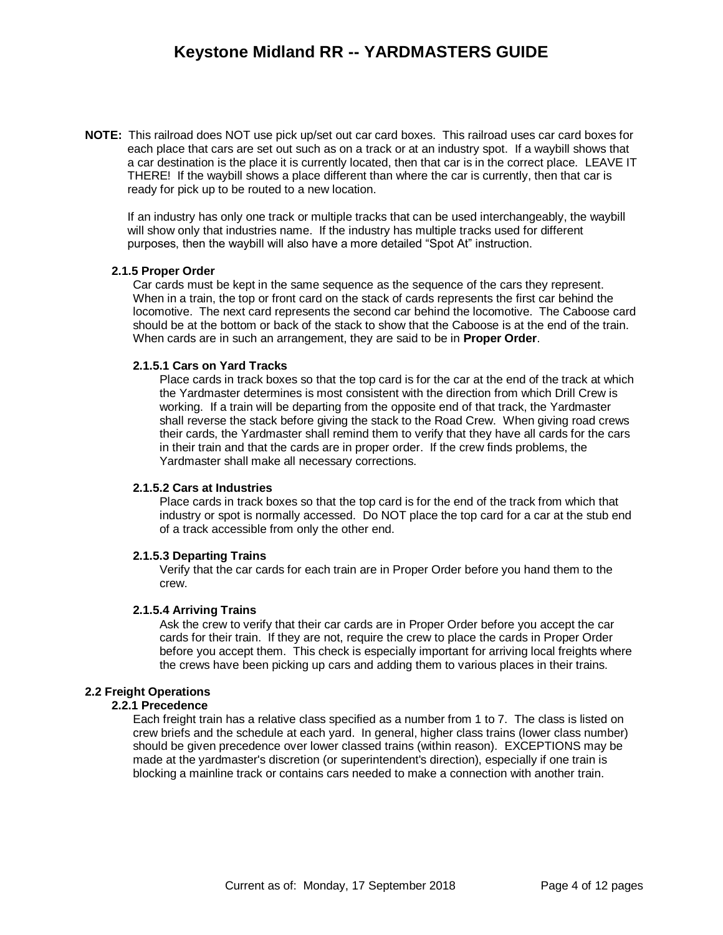## **Keystone Midland RR -- YARDMASTERS GUIDE**

**NOTE:** This railroad does NOT use pick up/set out car card boxes. This railroad uses car card boxes for each place that cars are set out such as on a track or at an industry spot. If a waybill shows that a car destination is the place it is currently located, then that car is in the correct place. LEAVE IT THERE! If the waybill shows a place different than where the car is currently, then that car is ready for pick up to be routed to a new location.

If an industry has only one track or multiple tracks that can be used interchangeably, the waybill will show only that industries name. If the industry has multiple tracks used for different purposes, then the waybill will also have a more detailed "Spot At" instruction.

#### **2.1.5 Proper Order**

Car cards must be kept in the same sequence as the sequence of the cars they represent. When in a train, the top or front card on the stack of cards represents the first car behind the locomotive. The next card represents the second car behind the locomotive. The Caboose card should be at the bottom or back of the stack to show that the Caboose is at the end of the train. When cards are in such an arrangement, they are said to be in **Proper Order**.

#### **2.1.5.1 Cars on Yard Tracks**

Place cards in track boxes so that the top card is for the car at the end of the track at which the Yardmaster determines is most consistent with the direction from which Drill Crew is working. If a train will be departing from the opposite end of that track, the Yardmaster shall reverse the stack before giving the stack to the Road Crew. When giving road crews their cards, the Yardmaster shall remind them to verify that they have all cards for the cars in their train and that the cards are in proper order. If the crew finds problems, the Yardmaster shall make all necessary corrections.

#### **2.1.5.2 Cars at Industries**

Place cards in track boxes so that the top card is for the end of the track from which that industry or spot is normally accessed. Do NOT place the top card for a car at the stub end of a track accessible from only the other end.

#### **2.1.5.3 Departing Trains**

Verify that the car cards for each train are in Proper Order before you hand them to the crew.

#### **2.1.5.4 Arriving Trains**

Ask the crew to verify that their car cards are in Proper Order before you accept the car cards for their train. If they are not, require the crew to place the cards in Proper Order before you accept them. This check is especially important for arriving local freights where the crews have been picking up cars and adding them to various places in their trains.

#### **2.2 Freight Operations**

#### **2.2.1 Precedence**

Each freight train has a relative class specified as a number from 1 to 7. The class is listed on crew briefs and the schedule at each yard. In general, higher class trains (lower class number) should be given precedence over lower classed trains (within reason). EXCEPTIONS may be made at the yardmaster's discretion (or superintendent's direction), especially if one train is blocking a mainline track or contains cars needed to make a connection with another train.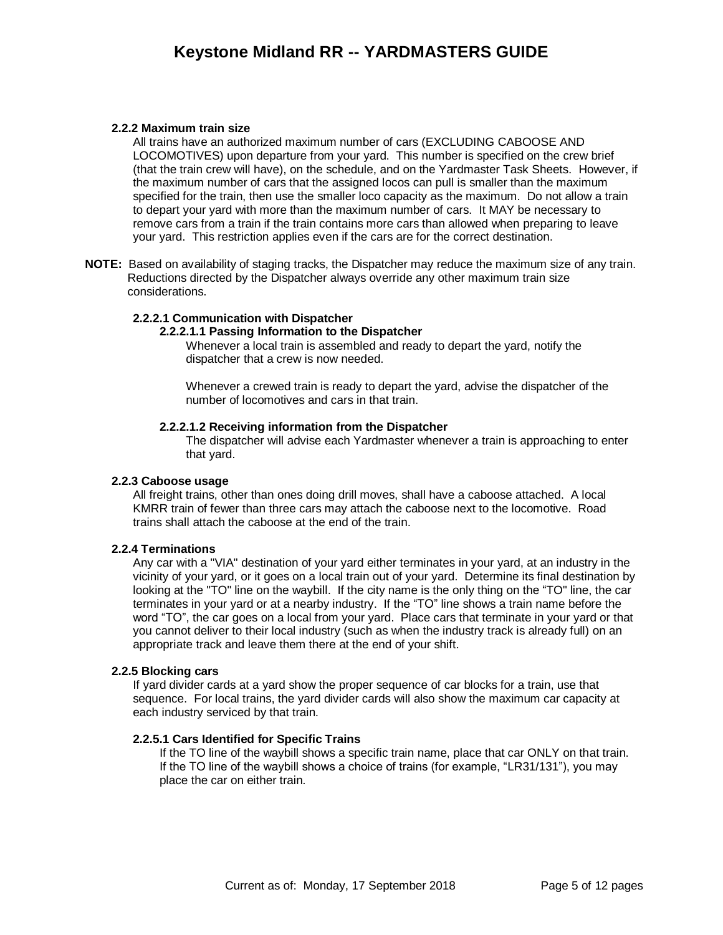## **Keystone Midland RR -- YARDMASTERS GUIDE**

#### **2.2.2 Maximum train size**

All trains have an authorized maximum number of cars (EXCLUDING CABOOSE AND LOCOMOTIVES) upon departure from your yard. This number is specified on the crew brief (that the train crew will have), on the schedule, and on the Yardmaster Task Sheets. However, if the maximum number of cars that the assigned locos can pull is smaller than the maximum specified for the train, then use the smaller loco capacity as the maximum. Do not allow a train to depart your yard with more than the maximum number of cars. It MAY be necessary to remove cars from a train if the train contains more cars than allowed when preparing to leave your yard. This restriction applies even if the cars are for the correct destination.

**NOTE:** Based on availability of staging tracks, the Dispatcher may reduce the maximum size of any train. Reductions directed by the Dispatcher always override any other maximum train size considerations.

#### **2.2.2.1 Communication with Dispatcher**

#### **2.2.2.1.1 Passing Information to the Dispatcher**

Whenever a local train is assembled and ready to depart the yard, notify the dispatcher that a crew is now needed.

Whenever a crewed train is ready to depart the yard, advise the dispatcher of the number of locomotives and cars in that train.

#### **2.2.2.1.2 Receiving information from the Dispatcher**

The dispatcher will advise each Yardmaster whenever a train is approaching to enter that yard.

#### **2.2.3 Caboose usage**

All freight trains, other than ones doing drill moves, shall have a caboose attached. A local KMRR train of fewer than three cars may attach the caboose next to the locomotive. Road trains shall attach the caboose at the end of the train.

#### **2.2.4 Terminations**

Any car with a "VIA" destination of your yard either terminates in your yard, at an industry in the vicinity of your yard, or it goes on a local train out of your yard. Determine its final destination by looking at the "TO" line on the waybill. If the city name is the only thing on the "TO" line, the car terminates in your yard or at a nearby industry. If the "TO" line shows a train name before the word "TO", the car goes on a local from your yard. Place cars that terminate in your yard or that you cannot deliver to their local industry (such as when the industry track is already full) on an appropriate track and leave them there at the end of your shift.

#### **2.2.5 Blocking cars**

If yard divider cards at a yard show the proper sequence of car blocks for a train, use that sequence. For local trains, the yard divider cards will also show the maximum car capacity at each industry serviced by that train.

#### <span id="page-4-0"></span>**2.2.5.1 Cars Identified for Specific Trains**

If the TO line of the waybill shows a specific train name, place that car ONLY on that train. If the TO line of the waybill shows a choice of trains (for example, "LR31/131"), you may place the car on either train.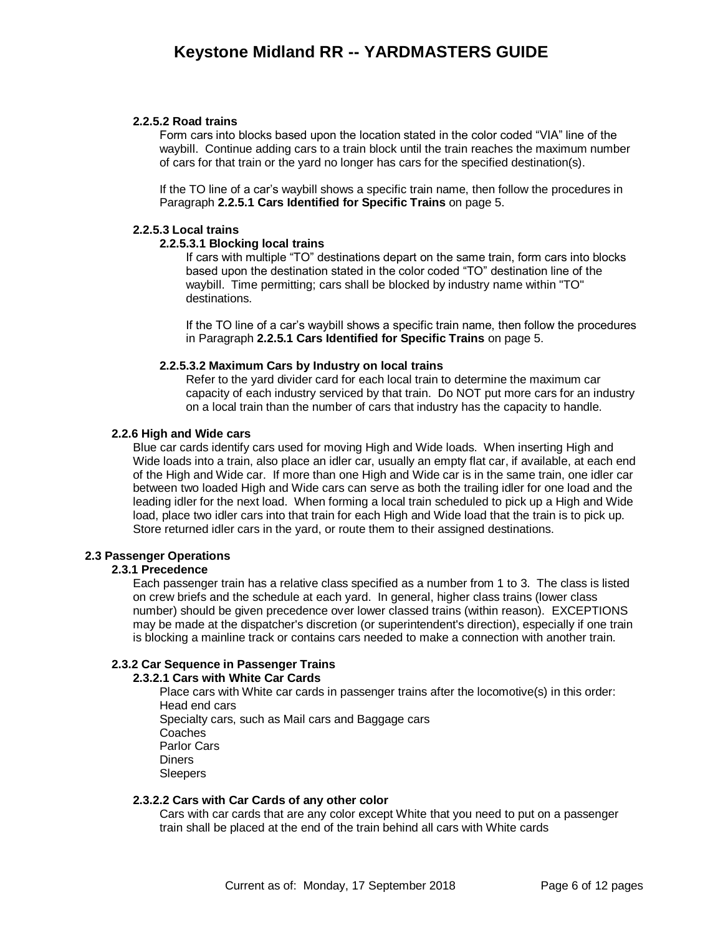#### **2.2.5.2 Road trains**

Form cars into blocks based upon the location stated in the color coded "VIA" line of the waybill. Continue adding cars to a train block until the train reaches the maximum number of cars for that train or the yard no longer has cars for the specified destination(s).

If the TO line of a car's waybill shows a specific train name, then follow the procedures in Paragraph **[2.2.5.1 Cars Identified for Specific Trains](#page-4-0)** on page [5.](#page-4-0)

#### **2.2.5.3 Local trains**

#### **2.2.5.3.1 Blocking local trains**

If cars with multiple "TO" destinations depart on the same train, form cars into blocks based upon the destination stated in the color coded "TO" destination line of the waybill. Time permitting; cars shall be blocked by industry name within "TO" destinations.

If the TO line of a car's waybill shows a specific train name, then follow the procedures in Paragraph **[2.2.5.1 Cars Identified for Specific Trains](#page-4-0)** on page [5.](#page-4-0)

#### **2.2.5.3.2 Maximum Cars by Industry on local trains**

Refer to the yard divider card for each local train to determine the maximum car capacity of each industry serviced by that train. Do NOT put more cars for an industry on a local train than the number of cars that industry has the capacity to handle.

#### **2.2.6 High and Wide cars**

Blue car cards identify cars used for moving High and Wide loads. When inserting High and Wide loads into a train, also place an idler car, usually an empty flat car, if available, at each end of the High and Wide car. If more than one High and Wide car is in the same train, one idler car between two loaded High and Wide cars can serve as both the trailing idler for one load and the leading idler for the next load. When forming a local train scheduled to pick up a High and Wide load, place two idler cars into that train for each High and Wide load that the train is to pick up. Store returned idler cars in the yard, or route them to their assigned destinations.

#### **2.3 Passenger Operations**

#### **2.3.1 Precedence**

Each passenger train has a relative class specified as a number from 1 to 3. The class is listed on crew briefs and the schedule at each yard. In general, higher class trains (lower class number) should be given precedence over lower classed trains (within reason). EXCEPTIONS may be made at the dispatcher's discretion (or superintendent's direction), especially if one train is blocking a mainline track or contains cars needed to make a connection with another train.

#### **2.3.2 Car Sequence in Passenger Trains**

#### **2.3.2.1 Cars with White Car Cards**

Place cars with White car cards in passenger trains after the locomotive(s) in this order: Head end cars Specialty cars, such as Mail cars and Baggage cars Coaches Parlor Cars **Diners** Sleepers

#### **2.3.2.2 Cars with Car Cards of any other color**

Cars with car cards that are any color except White that you need to put on a passenger train shall be placed at the end of the train behind all cars with White cards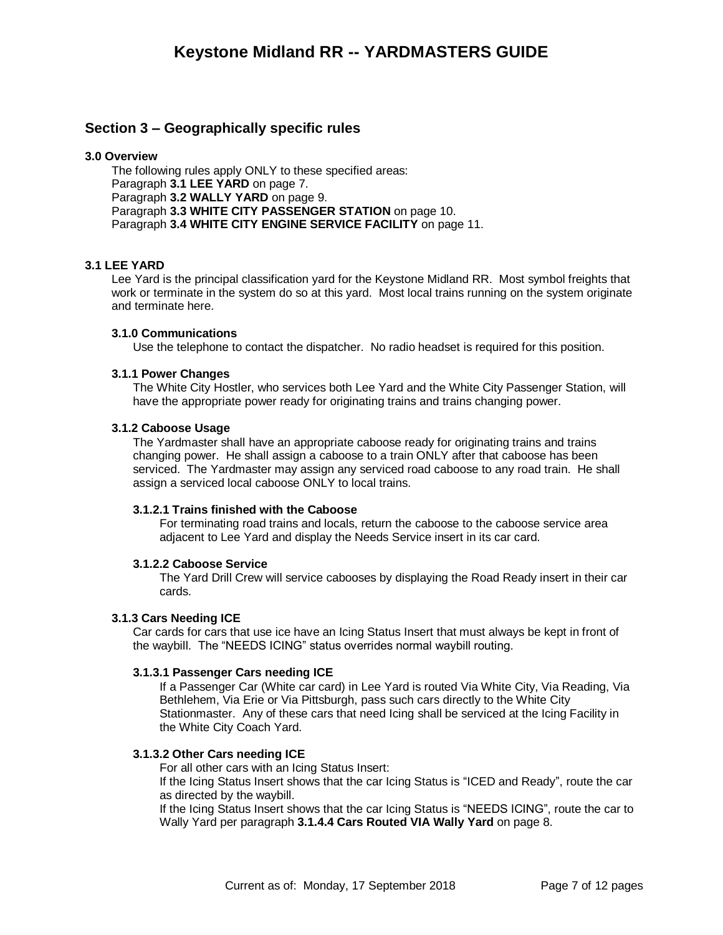### **Section 3 – Geographically specific rules**

#### **3.0 Overview**

The following rules apply ONLY to these specified areas: Paragraph **[3.1 LEE YARD](#page-6-0)** on page [7.](#page-6-0) Paragraph **3.2 [WALLY YARD](#page-8-0)** on page [9.](#page-8-0) Paragraph **3.3 [WHITE CITY PASSENGER STATION](#page-9-0)** on page [10.](#page-9-0) Paragraph **[3.4 WHITE CITY ENGINE SERVICE FACILITY](#page-10-0)** on page [11.](#page-10-0)

#### <span id="page-6-0"></span>**3.1 LEE YARD**

Lee Yard is the principal classification yard for the Keystone Midland RR. Most symbol freights that work or terminate in the system do so at this yard. Most local trains running on the system originate and terminate here.

#### **3.1.0 Communications**

Use the telephone to contact the dispatcher. No radio headset is required for this position.

#### **3.1.1 Power Changes**

The White City Hostler, who services both Lee Yard and the White City Passenger Station, will have the appropriate power ready for originating trains and trains changing power.

#### **3.1.2 Caboose Usage**

The Yardmaster shall have an appropriate caboose ready for originating trains and trains changing power. He shall assign a caboose to a train ONLY after that caboose has been serviced. The Yardmaster may assign any serviced road caboose to any road train. He shall assign a serviced local caboose ONLY to local trains.

#### **3.1.2.1 Trains finished with the Caboose**

For terminating road trains and locals, return the caboose to the caboose service area adjacent to Lee Yard and display the Needs Service insert in its car card.

#### **3.1.2.2 Caboose Service**

The Yard Drill Crew will service cabooses by displaying the Road Ready insert in their car cards.

#### **3.1.3 Cars Needing ICE**

Car cards for cars that use ice have an Icing Status Insert that must always be kept in front of the waybill. The "NEEDS ICING" status overrides normal waybill routing.

#### **3.1.3.1 Passenger Cars needing ICE**

If a Passenger Car (White car card) in Lee Yard is routed Via White City, Via Reading, Via Bethlehem, Via Erie or Via Pittsburgh, pass such cars directly to the White City Stationmaster. Any of these cars that need Icing shall be serviced at the Icing Facility in the White City Coach Yard.

#### **3.1.3.2 Other Cars needing ICE**

For all other cars with an Icing Status Insert:

If the Icing Status Insert shows that the car Icing Status is "ICED and Ready", route the car as directed by the waybill.

If the Icing Status Insert shows that the car Icing Status is "NEEDS ICING", route the car to Wally Yard per paragraph **3.1.4.4 [Cars Routed VIA Wally Yard](#page-7-0)** on page [8.](#page-7-0)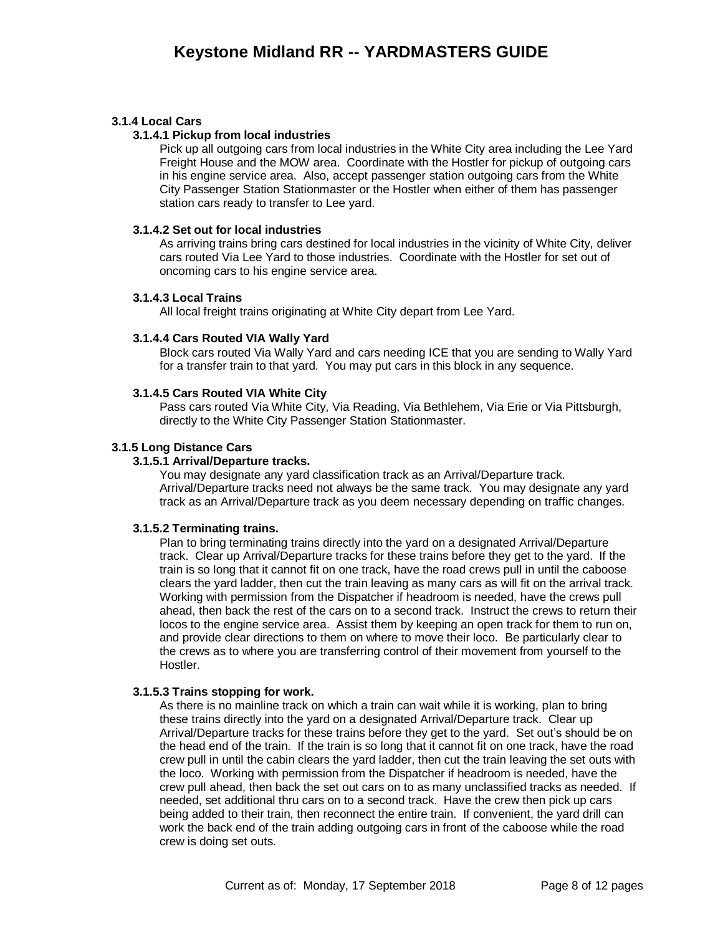#### **3.1.4 Local Cars**

#### **3.1.4.1 Pickup from local industries**

Pick up all outgoing cars from local industries in the White City area including the Lee Yard Freight House and the MOW area. Coordinate with the Hostler for pickup of outgoing cars in his engine service area. Also, accept passenger station outgoing cars from the White City Passenger Station Stationmaster or the Hostler when either of them has passenger station cars ready to transfer to Lee yard.

#### **3.1.4.2 Set out for local industries**

As arriving trains bring cars destined for local industries in the vicinity of White City, deliver cars routed Via Lee Yard to those industries. Coordinate with the Hostler for set out of oncoming cars to his engine service area.

#### **3.1.4.3 Local Trains**

All local freight trains originating at White City depart from Lee Yard.

#### <span id="page-7-0"></span>**3.1.4.4 Cars Routed VIA Wally Yard**

Block cars routed Via Wally Yard and cars needing ICE that you are sending to Wally Yard for a transfer train to that yard. You may put cars in this block in any sequence.

#### **3.1.4.5 Cars Routed VIA White City**

Pass cars routed Via White City, Via Reading, Via Bethlehem, Via Erie or Via Pittsburgh, directly to the White City Passenger Station Stationmaster.

#### **3.1.5 Long Distance Cars**

#### **3.1.5.1 Arrival/Departure tracks.**

You may designate any yard classification track as an Arrival/Departure track. Arrival/Departure tracks need not always be the same track. You may designate any yard track as an Arrival/Departure track as you deem necessary depending on traffic changes.

#### **3.1.5.2 Terminating trains.**

Plan to bring terminating trains directly into the yard on a designated Arrival/Departure track. Clear up Arrival/Departure tracks for these trains before they get to the yard. If the train is so long that it cannot fit on one track, have the road crews pull in until the caboose clears the yard ladder, then cut the train leaving as many cars as will fit on the arrival track. Working with permission from the Dispatcher if headroom is needed, have the crews pull ahead, then back the rest of the cars on to a second track. Instruct the crews to return their locos to the engine service area. Assist them by keeping an open track for them to run on, and provide clear directions to them on where to move their loco. Be particularly clear to the crews as to where you are transferring control of their movement from yourself to the Hostler.

#### **3.1.5.3 Trains stopping for work.**

As there is no mainline track on which a train can wait while it is working, plan to bring these trains directly into the yard on a designated Arrival/Departure track. Clear up Arrival/Departure tracks for these trains before they get to the yard. Set out's should be on the head end of the train. If the train is so long that it cannot fit on one track, have the road crew pull in until the cabin clears the yard ladder, then cut the train leaving the set outs with the loco. Working with permission from the Dispatcher if headroom is needed, have the crew pull ahead, then back the set out cars on to as many unclassified tracks as needed. If needed, set additional thru cars on to a second track. Have the crew then pick up cars being added to their train, then reconnect the entire train. If convenient, the yard drill can work the back end of the train adding outgoing cars in front of the caboose while the road crew is doing set outs.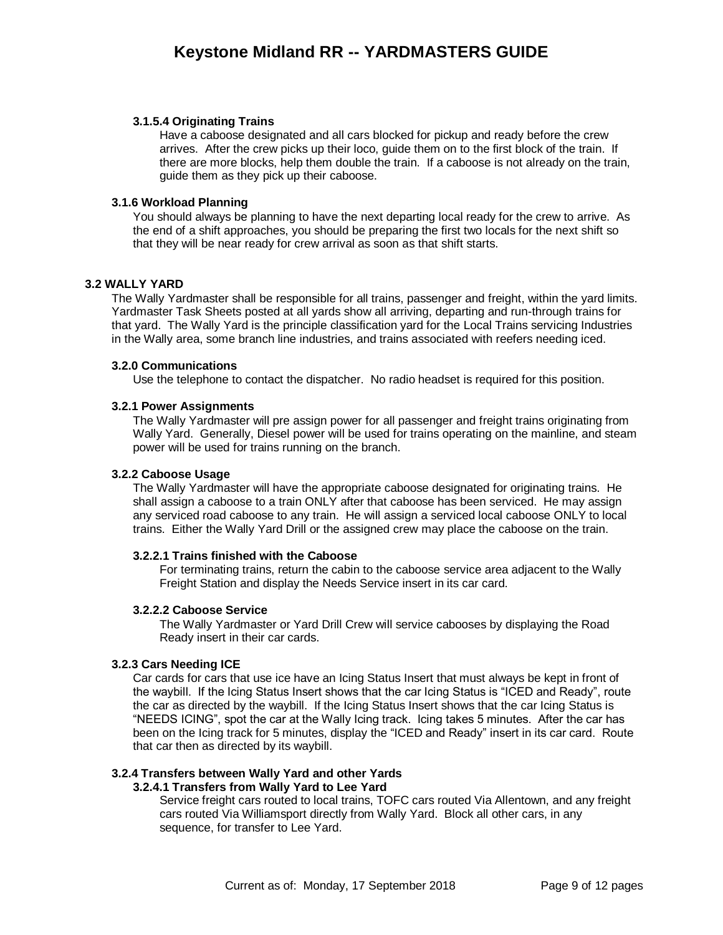#### **3.1.5.4 Originating Trains**

Have a caboose designated and all cars blocked for pickup and ready before the crew arrives. After the crew picks up their loco, guide them on to the first block of the train. If there are more blocks, help them double the train. If a caboose is not already on the train, guide them as they pick up their caboose.

#### **3.1.6 Workload Planning**

You should always be planning to have the next departing local ready for the crew to arrive. As the end of a shift approaches, you should be preparing the first two locals for the next shift so that they will be near ready for crew arrival as soon as that shift starts.

#### <span id="page-8-0"></span>**3.2 WALLY YARD**

The Wally Yardmaster shall be responsible for all trains, passenger and freight, within the yard limits. Yardmaster Task Sheets posted at all yards show all arriving, departing and run-through trains for that yard. The Wally Yard is the principle classification yard for the Local Trains servicing Industries in the Wally area, some branch line industries, and trains associated with reefers needing iced.

#### **3.2.0 Communications**

Use the telephone to contact the dispatcher. No radio headset is required for this position.

#### **3.2.1 Power Assignments**

The Wally Yardmaster will pre assign power for all passenger and freight trains originating from Wally Yard. Generally, Diesel power will be used for trains operating on the mainline, and steam power will be used for trains running on the branch.

#### **3.2.2 Caboose Usage**

The Wally Yardmaster will have the appropriate caboose designated for originating trains. He shall assign a caboose to a train ONLY after that caboose has been serviced. He may assign any serviced road caboose to any train. He will assign a serviced local caboose ONLY to local trains. Either the Wally Yard Drill or the assigned crew may place the caboose on the train.

#### **3.2.2.1 Trains finished with the Caboose**

For terminating trains, return the cabin to the caboose service area adjacent to the Wally Freight Station and display the Needs Service insert in its car card.

#### **3.2.2.2 Caboose Service**

The Wally Yardmaster or Yard Drill Crew will service cabooses by displaying the Road Ready insert in their car cards.

#### **3.2.3 Cars Needing ICE**

Car cards for cars that use ice have an Icing Status Insert that must always be kept in front of the waybill. If the Icing Status Insert shows that the car Icing Status is "ICED and Ready", route the car as directed by the waybill. If the Icing Status Insert shows that the car Icing Status is "NEEDS ICING", spot the car at the Wally Icing track. Icing takes 5 minutes. After the car has been on the Icing track for 5 minutes, display the "ICED and Ready" insert in its car card. Route that car then as directed by its waybill.

#### **3.2.4 Transfers between Wally Yard and other Yards**

#### **3.2.4.1 Transfers from Wally Yard to Lee Yard**

Service freight cars routed to local trains, TOFC cars routed Via Allentown, and any freight cars routed Via Williamsport directly from Wally Yard. Block all other cars, in any sequence, for transfer to Lee Yard.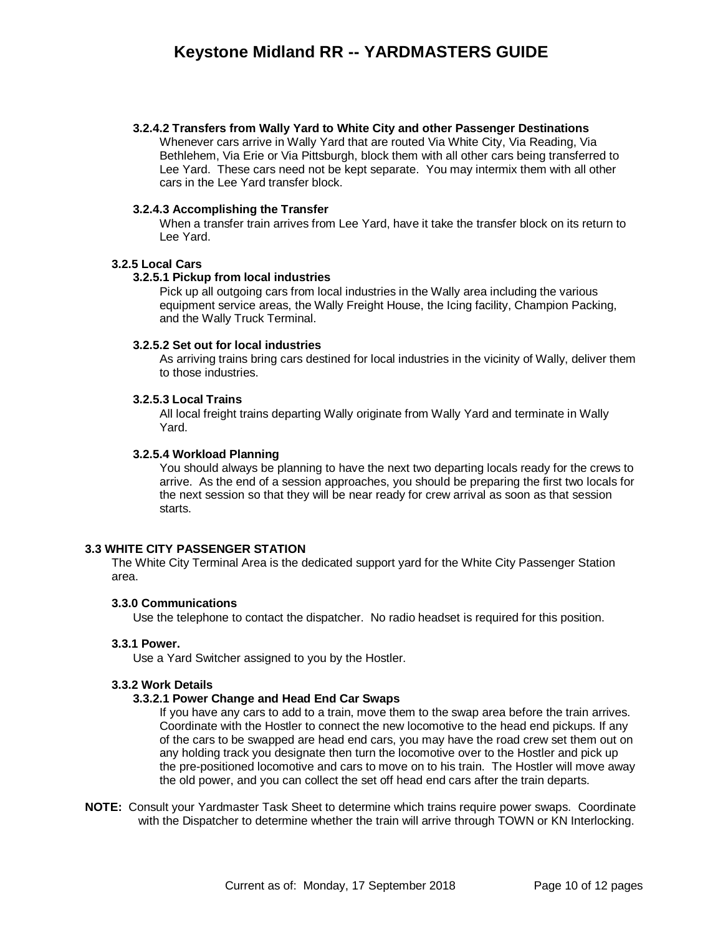#### **3.2.4.2 Transfers from Wally Yard to White City and other Passenger Destinations**

Whenever cars arrive in Wally Yard that are routed Via White City, Via Reading, Via Bethlehem, Via Erie or Via Pittsburgh, block them with all other cars being transferred to Lee Yard. These cars need not be kept separate. You may intermix them with all other cars in the Lee Yard transfer block.

#### **3.2.4.3 Accomplishing the Transfer**

When a transfer train arrives from Lee Yard, have it take the transfer block on its return to Lee Yard.

#### **3.2.5 Local Cars**

#### **3.2.5.1 Pickup from local industries**

Pick up all outgoing cars from local industries in the Wally area including the various equipment service areas, the Wally Freight House, the Icing facility, Champion Packing, and the Wally Truck Terminal.

#### **3.2.5.2 Set out for local industries**

As arriving trains bring cars destined for local industries in the vicinity of Wally, deliver them to those industries.

#### **3.2.5.3 Local Trains**

All local freight trains departing Wally originate from Wally Yard and terminate in Wally Yard.

#### **3.2.5.4 Workload Planning**

You should always be planning to have the next two departing locals ready for the crews to arrive. As the end of a session approaches, you should be preparing the first two locals for the next session so that they will be near ready for crew arrival as soon as that session starts.

#### <span id="page-9-0"></span>**3.3 WHITE CITY PASSENGER STATION**

The White City Terminal Area is the dedicated support yard for the White City Passenger Station area.

#### **3.3.0 Communications**

Use the telephone to contact the dispatcher. No radio headset is required for this position.

#### **3.3.1 Power.**

Use a Yard Switcher assigned to you by the Hostler.

#### **3.3.2 Work Details**

#### **3.3.2.1 Power Change and Head End Car Swaps**

If you have any cars to add to a train, move them to the swap area before the train arrives. Coordinate with the Hostler to connect the new locomotive to the head end pickups. If any of the cars to be swapped are head end cars, you may have the road crew set them out on any holding track you designate then turn the locomotive over to the Hostler and pick up the pre-positioned locomotive and cars to move on to his train. The Hostler will move away the old power, and you can collect the set off head end cars after the train departs.

**NOTE:** Consult your Yardmaster Task Sheet to determine which trains require power swaps. Coordinate with the Dispatcher to determine whether the train will arrive through TOWN or KN Interlocking.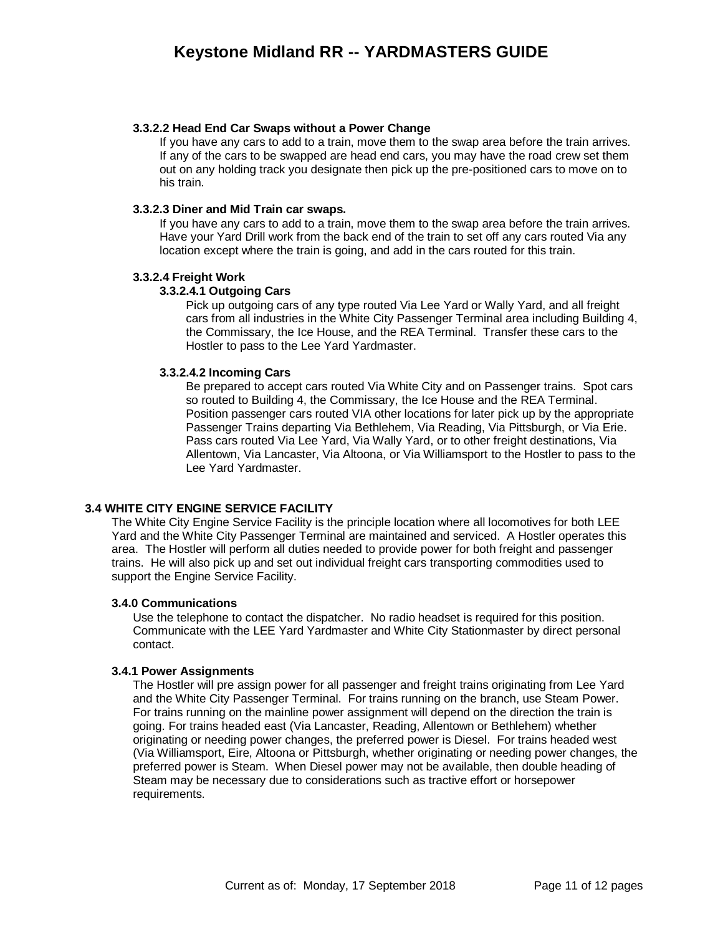#### **3.3.2.2 Head End Car Swaps without a Power Change**

If you have any cars to add to a train, move them to the swap area before the train arrives. If any of the cars to be swapped are head end cars, you may have the road crew set them out on any holding track you designate then pick up the pre-positioned cars to move on to his train.

#### **3.3.2.3 Diner and Mid Train car swaps.**

If you have any cars to add to a train, move them to the swap area before the train arrives. Have your Yard Drill work from the back end of the train to set off any cars routed Via any location except where the train is going, and add in the cars routed for this train.

#### **3.3.2.4 Freight Work**

#### **3.3.2.4.1 Outgoing Cars**

Pick up outgoing cars of any type routed Via Lee Yard or Wally Yard, and all freight cars from all industries in the White City Passenger Terminal area including Building 4, the Commissary, the Ice House, and the REA Terminal. Transfer these cars to the Hostler to pass to the Lee Yard Yardmaster.

#### **3.3.2.4.2 Incoming Cars**

Be prepared to accept cars routed Via White City and on Passenger trains. Spot cars so routed to Building 4, the Commissary, the Ice House and the REA Terminal. Position passenger cars routed VIA other locations for later pick up by the appropriate Passenger Trains departing Via Bethlehem, Via Reading, Via Pittsburgh, or Via Erie. Pass cars routed Via Lee Yard, Via Wally Yard, or to other freight destinations, Via Allentown, Via Lancaster, Via Altoona, or Via Williamsport to the Hostler to pass to the Lee Yard Yardmaster.

#### <span id="page-10-0"></span>**3.4 WHITE CITY ENGINE SERVICE FACILITY**

The White City Engine Service Facility is the principle location where all locomotives for both LEE Yard and the White City Passenger Terminal are maintained and serviced. A Hostler operates this area. The Hostler will perform all duties needed to provide power for both freight and passenger trains. He will also pick up and set out individual freight cars transporting commodities used to support the Engine Service Facility.

#### **3.4.0 Communications**

Use the telephone to contact the dispatcher. No radio headset is required for this position. Communicate with the LEE Yard Yardmaster and White City Stationmaster by direct personal contact.

#### **3.4.1 Power Assignments**

The Hostler will pre assign power for all passenger and freight trains originating from Lee Yard and the White City Passenger Terminal. For trains running on the branch, use Steam Power. For trains running on the mainline power assignment will depend on the direction the train is going. For trains headed east (Via Lancaster, Reading, Allentown or Bethlehem) whether originating or needing power changes, the preferred power is Diesel. For trains headed west (Via Williamsport, Eire, Altoona or Pittsburgh, whether originating or needing power changes, the preferred power is Steam. When Diesel power may not be available, then double heading of Steam may be necessary due to considerations such as tractive effort or horsepower requirements.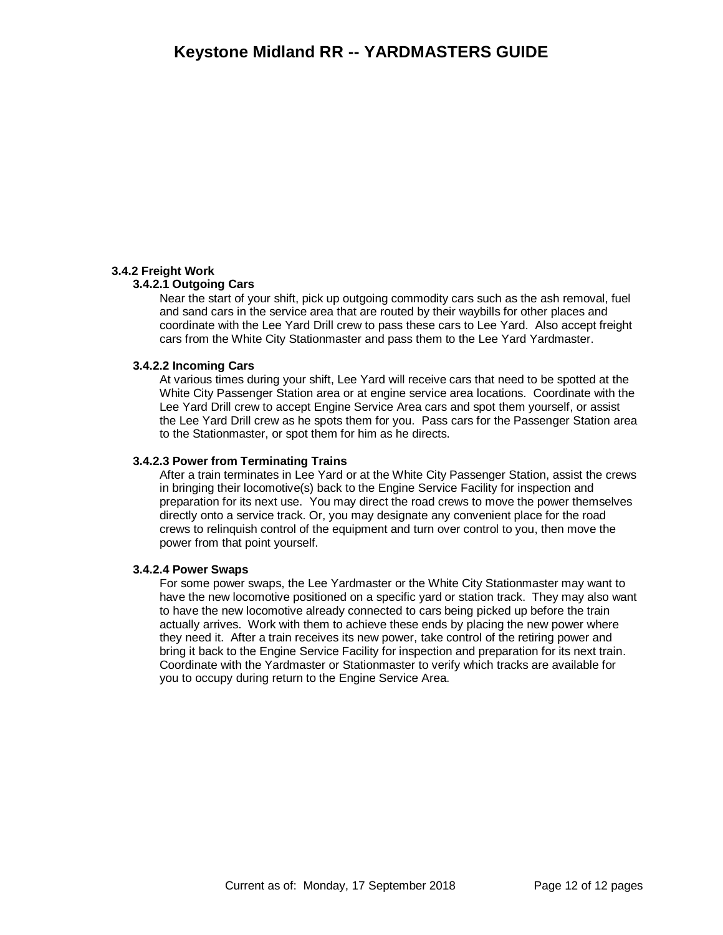#### **3.4.2 Freight Work**

#### **3.4.2.1 Outgoing Cars**

Near the start of your shift, pick up outgoing commodity cars such as the ash removal, fuel and sand cars in the service area that are routed by their waybills for other places and coordinate with the Lee Yard Drill crew to pass these cars to Lee Yard. Also accept freight cars from the White City Stationmaster and pass them to the Lee Yard Yardmaster.

#### **3.4.2.2 Incoming Cars**

At various times during your shift, Lee Yard will receive cars that need to be spotted at the White City Passenger Station area or at engine service area locations. Coordinate with the Lee Yard Drill crew to accept Engine Service Area cars and spot them yourself, or assist the Lee Yard Drill crew as he spots them for you. Pass cars for the Passenger Station area to the Stationmaster, or spot them for him as he directs.

#### **3.4.2.3 Power from Terminating Trains**

After a train terminates in Lee Yard or at the White City Passenger Station, assist the crews in bringing their locomotive(s) back to the Engine Service Facility for inspection and preparation for its next use. You may direct the road crews to move the power themselves directly onto a service track. Or, you may designate any convenient place for the road crews to relinquish control of the equipment and turn over control to you, then move the power from that point yourself.

#### **3.4.2.4 Power Swaps**

For some power swaps, the Lee Yardmaster or the White City Stationmaster may want to have the new locomotive positioned on a specific yard or station track. They may also want to have the new locomotive already connected to cars being picked up before the train actually arrives. Work with them to achieve these ends by placing the new power where they need it. After a train receives its new power, take control of the retiring power and bring it back to the Engine Service Facility for inspection and preparation for its next train. Coordinate with the Yardmaster or Stationmaster to verify which tracks are available for you to occupy during return to the Engine Service Area.